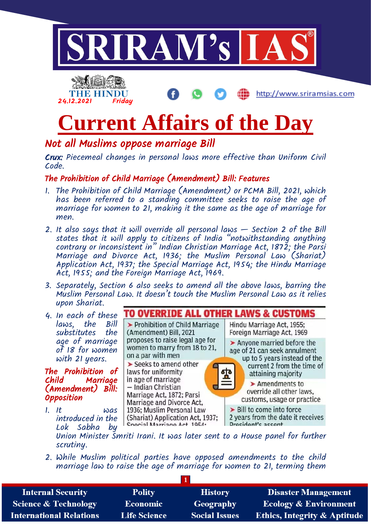



http://www.sriramsias.com

# **Current Affairs of the Day**

## Not all Muslims oppose marriage Bill

Crux: Piecemeal changes in personal laws more effective than Uniform Civil Code.

### The Prohibition of Child Marriage (Amendment) Bill: Features

- 1. The Prohibition of Child Marriage (Amendment) or PCMA Bill, 2021, which has been referred to a standing committee seeks to raise the age of marriage for women to 21, making it the same as the age of marriage for men.
- 2. It also says that it will override all personal laws Section 2 of the Bill states that it will apply to citizens of India "notwithstanding anything contrary or inconsistent in" Indian Christian Marriage Act, 1872; the Parsi Marriage and Divorce Act, 1936; the Muslim Personal Law (Shariat) Application Act, 1937; the Special Marriage Act, 1954; the Hindu Marriage Act, 1955; and the Foreign Marriage Act, 1969.
- 3. Separately, Section 6 also seeks to amend all the above laws, barring the Muslim Personal Law. It doesn't touch the Muslim Personal Law as it relies upon Shariat.
- **TO OVERRIDE ALL OTHER LAWS & CUSTOMS** 4. In each of these laws, the Bill > Prohibition of Child Marriage Hindu Marriage Act, 1955; substitutes the (Amendment) Bill, 2021 Foreign Marriage Act, 1969 proposes to raise legal age for age of marriage  $\blacktriangleright$  Anyone married before the women to marry from 18 to 21, of 18 for women age of 21 can seek annulment on a par with men with 21 years. up to 5 years instead of the > Seeks to amend other current 2 from the time of The Prohibition of laws for uniformity attaining majority in age of marriage Marriage  $\blacktriangleright$  Amendments to — Indian Christian (Amendment) Bill: override all other laws, Marriage Act, 1872; Parsi **Opposition** customs, usage or practice Marriage and Divorce Act, 1936; Muslim Personal Law > Bill to come into force 1. It was
- 2 years from the date it receives introduced in the (Shariat) Application Act, 1937; **Procident's assent** Snorial Marriano Art 1954. Lok Sabha by Union Minister Smriti Irani. It was later sent to a House panel for further scrutiny.
- 2. While Muslim political parties have opposed amendments to the child marriage law to raise the age of marriage for women to 21, terming them

| <b>Internal Security</b>        | <b>Polity</b>       | <b>History</b>       | <b>Disaster Management</b>              |
|---------------------------------|---------------------|----------------------|-----------------------------------------|
| <b>Science &amp; Technology</b> | <b>Economic</b>     | Geography            | <b>Ecology &amp; Environment</b>        |
| <b>International Relations</b>  | <b>Life Science</b> | <b>Social Issues</b> | <b>Ethics, Integrity &amp; Aptitude</b> |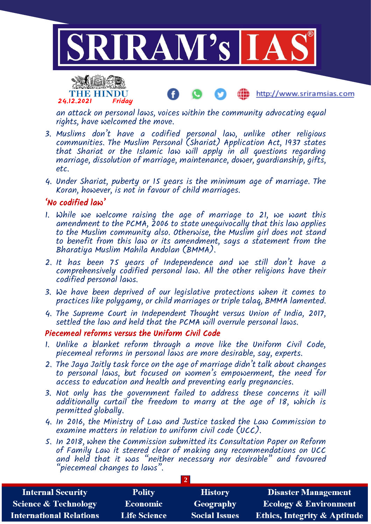



an attack on personal laws, voices within the community advocating equal rights, have welcomed the move.

http://www.sriramsias.com

- 3. Muslims don't have a codified personal law, unlike other religious communities. The Muslim Personal (Shariat) Application Act, 1937 states that Shariat or the Islamic law will apply in all questions regarding marriage, dissolution of marriage, maintenance, dower, guardianship, gifts, etc.
- 4. Under Shariat, puberty or 15 years is the minimum age of marriage. The Koran, however, is not in favour of child marriages.

#### 'No codified law'

- 1. While we welcome raising the age of marriage to 21, we want this amendment to the PCMA, 2006 to state unequivocally that this law applies to the Muslim community also. Otherwise, the Muslim girl does not stand to benefit from this law or its amendment, says a statement from the Bharatiya Muslim Mahila Andolan (BMMA).
- 2. It has been 75 years of Independence and we still don't have a comprehensively codified personal law. All the other religions have their codified personal laws.
- 3. We have been deprived of our legislative protections when it comes to practices like polygamy, or child marriages or triple talag, BMMA lamented.
- 4. The Supreme Court in Independent Thought versus Union of India, 2017, settled the law and held that the PCMA will overrule personal laws.

#### Piecemeal reforms versus the Uniform Civil Code

- 1. Unlike a blanket reform through a move like the Uniform Civil Code, piecemeal reforms in personal laws are more desirable, say, experts.
- 2. The Jaya Jaitly task force on the age of marriage didn't talk about changes to personal laws, but focused on women's empowerment, the need for access to education and health and preventing early pregnancies.
- 3. Not only has the government failed to address these concerns it will additionally curtail the freedom to marry at the age of 18, which is permitted globally.
- 4. In 2016, the Ministry of Law and Justice tasked the Law Commission to examine matters in relation to uniform civil code (UCC).
- 5. In 2018, when the Commission submitted its Consultation Paper on Reform of Family Law it steered clear of making any recommendations on UCC and held that it was "neither necessary nor desirable" and favoured "piecemeal changes to laws".

| <b>Internal Security</b>        | <b>Polity</b>       | <b>History</b>       | <b>Disaster Management</b>              |  |  |  |
|---------------------------------|---------------------|----------------------|-----------------------------------------|--|--|--|
| <b>Science &amp; Technology</b> | <b>Economic</b>     | Geography            | <b>Ecology &amp; Environment</b>        |  |  |  |
| <b>International Relations</b>  | <b>Life Science</b> | <b>Social Issues</b> | <b>Ethics, Integrity &amp; Aptitude</b> |  |  |  |